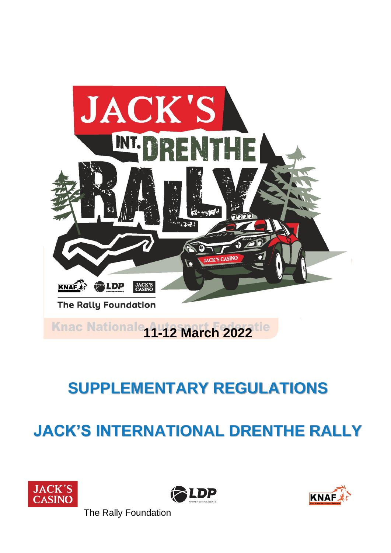

# **JACK'S INTERNATIONAL DRENTHE RALLY**







The Rally Foundation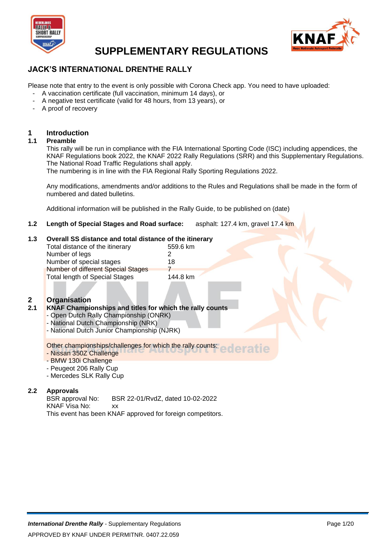



### **JACK'S INTERNATIONAL DRENTHE RALLY**

Please note that entry to the event is only possible with Corona Check app. You need to have uploaded:

- A vaccination certificate (full vaccination, minimum 14 days), or
- A negative test certificate (valid for 48 hours, from 13 years), or
- A proof of recovery

# **1 Introduction**

#### **1.1 Preamble**

This rally will be run in compliance with the FIA International Sporting Code (ISC) including appendices, the KNAF Regulations book 2022, the KNAF 2022 Rally Regulations (SRR) and this Supplementary Regulations. The National Road Traffic Regulations shall apply.

The numbering is in line with the FIA Regional Rally Sporting Regulations 2022.

Any modifications, amendments and/or additions to the Rules and Regulations shall be made in the form of numbered and dated bulletins.

Additional information will be published in the Rally Guide, to be published on (date)

**1.2 Length of Special Stages and Road surface:** asphalt: 127.4 km, gravel 17.4 km

#### **1.3 Overall SS distance and total distance of the itinerary**

| Total distance of the itinerary    | 559.6 km |
|------------------------------------|----------|
| Number of legs                     | 2        |
| Number of special stages           | 18       |
| Number of different Special Stages |          |
| Total length of Special Stages     | 144.8 km |
|                                    |          |

# **2 Organisation**

#### **2.1 KNAF Championships and titles for which the rally counts**

- Open Dutch Rally Championship (ONRK)
- National Dutch Championship (NRK)
- National Dutch Junior Championship (NJRK)

Other championships/challenges for which the rally counts:

- Nissan 350Z Challenge
- BMW 130i Challenge
- Peugeot 206 Rally Cup
- Mercedes SLK Rally Cup

# **2.2 Approvals**

BSR 22-01/RvdZ, dated 10-02-2022 KNAF Visa No: xx This event has been KNAF approved for foreign competitors.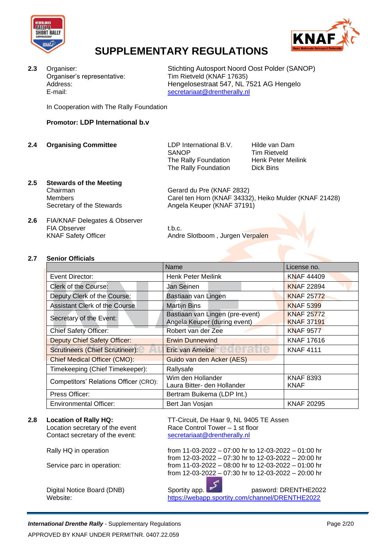



Organiser's representative: Tim Rietveld (KNAF 17635) E-mail: [secretariaat@drentherally.nl](mailto:secretariaat@drentherally.nl)

**2.3** Organiser: Stichting Autosport Noord Oost Polder (SANOP) Address: Hengelosestraat 547, NL 7521 AG Hengelo

In Cooperation with The Rally Foundation

#### **Promotor: LDP International b.v**

**2.4 Organising Committee** LDP International B.V. Hilde van Dam

SANOP Tim Rietveld The Rally Foundation Henk Peter Meilink The Rally Foundation Dick Bins

#### **2.5 Stewards of the Meeting**

Chairman Gerard du Pre (KNAF 2832) Members Carel ten Horn (KNAF 34332), Heiko Mulder (KNAF 21428)<br>Secretary of the Stewards Angela Keuper (KNAF 37191) Angela Keuper (KNAF 37191)

**2.6** FIA/KNAF Delegates & Observer FIA Observer t.b.c.

KNAF Safety Officer **Andre Slotboom** , Jurgen Verpalen

#### **2.7 Senior Officials**

|                                        | Name                                                            | License no.                            |  |
|----------------------------------------|-----------------------------------------------------------------|----------------------------------------|--|
| Event Director:                        | <b>Henk Peter Meilink</b>                                       | <b>KNAF 44409</b>                      |  |
| Clerk of the Course:                   | Jan Seinen                                                      | <b>KNAF 22894</b>                      |  |
| Deputy Clerk of the Course:            | Bastiaan van Lingen                                             | <b>KNAF 25772</b>                      |  |
| <b>Assistant Clerk of the Course</b>   | <b>Martijn Bins</b>                                             | <b>KNAF 5399</b>                       |  |
| Secretary of the Event:                | Bastiaan van Lingen (pre-event)<br>Angela Keuper (during event) | <b>KNAF 25772</b><br><b>KNAF 37191</b> |  |
| <b>Chief Safety Officer:</b>           | Robert van der Zee                                              | <b>KNAF 9577</b>                       |  |
| <b>Deputy Chief Safety Officer:</b>    | <b>Erwin Dunnewind</b>                                          | <b>KNAF 17616</b>                      |  |
| <b>Scrutineers (Chief Scrutineer):</b> | $\frac{1}{2}$<br>Eric van Ameide                                | <b>KNAF 4111</b>                       |  |
| <b>Chief Medical Officer (CMO):</b>    | Guido van den Acker (AES)                                       |                                        |  |
| Timekeeping (Chief Timekeeper):        | Rallysafe                                                       |                                        |  |
| Competitors' Relations Officer (CRO):  | Wim den Hollander<br>Laura Bitter- den Hollander                | <b>KNAF 8393</b><br><b>KNAF</b>        |  |
| Press Officer:                         | Bertram Buikema (LDP Int.)                                      |                                        |  |
| <b>Environmental Officer:</b>          | Bert Jan Vosjan                                                 | <b>KNAF 20295</b>                      |  |

Location secretary of the event Race Control Tower – 1 st floor Contact secretary of the event: [secretariaat@drentherally.nl](mailto:secretariaat@drentherally.nl)

**2.8 Location of Rally HQ:** TT-Circuit, De Haar 9, NL 9405 TE Assen

Rally HQ in operation from 11-03-2022 – 07:00 hr to 12-03-2022 – 01:00 hr from 12-03-2022 – 07:30 hr to 12-03-2022 – 20:00 hr Service parc in operation: from 11-03-2022 – 08:00 hr to 12-03-2022 – 01:00 hr from 12-03-2022 – 07:30 hr to 12-03-2022 – 20:00 hr

Digital Notice Board (DNB) Sportity app. **Fig. 1.1 Set also pasword: DRENTHE2022** Website: <https://webapp.sportity.com/channel/DRENTHE2022>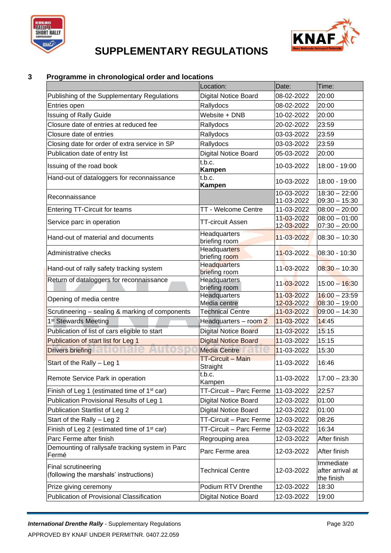



### **3 Programme in chronological order and locations**

|                                                               | Location:                                       | Date:                    | Time:                                       |  |
|---------------------------------------------------------------|-------------------------------------------------|--------------------------|---------------------------------------------|--|
| Publishing of the Supplementary Regulations                   | <b>Digital Notice Board</b>                     | 08-02-2022               | 20:00                                       |  |
| Entries open                                                  | Rallydocs                                       | 08-02-2022               | 20:00                                       |  |
| <b>Issuing of Rally Guide</b>                                 | Website + DNB                                   | 10-02-2022               | 20:00                                       |  |
| Closure date of entries at reduced fee                        | Rallydocs                                       | 20-02-2022               | 23:59                                       |  |
| Closure date of entries                                       | Rallydocs                                       | 03-03-2022               | 23:59                                       |  |
| Closing date for order of extra service in SP                 | Rallydocs                                       | 03-03-2022               | 23:59                                       |  |
| Publication date of entry list                                | Digital Notice Board                            | 05-03-2022               | 20:00                                       |  |
| Issuing of the road book                                      | t.b.c.<br><b>Kampen</b>                         | 10-03-2022               | 18:00 - 19:00                               |  |
| Hand-out of dataloggers for reconnaissance                    | t.b.c.<br><b>Kampen</b>                         | 10-03-2022               | 18:00 - 19:00                               |  |
| Reconnaissance                                                |                                                 | 10-03-2022<br>11-03-2022 | $18:30 - 22:00$<br>$09:30 - 15:30$          |  |
| <b>Entering TT-Circuit for teams</b>                          | <b>TT - Welcome Centre</b>                      | 11-03-2022               | $08:00 - 20:00$                             |  |
| Service parc in operation                                     | <b>TT-circuit Assen</b>                         | 11-03-2022               | $08:00 - 01:00$                             |  |
|                                                               |                                                 | 12-03-2022               | $07:30 - 20:00$                             |  |
| Hand-out of material and documents                            | Headquarters<br>briefing room                   | 11-03-2022               | $08:30 - 10:30$                             |  |
| Administrative checks                                         | <b>Headquarters</b><br>briefing room            | 11-03-2022               | 08:30 - 10:30                               |  |
| Hand-out of rally safety tracking system                      | <b>Headquarters</b><br>briefing room            | 11-03-2022               | $08:30 - 10:30$                             |  |
| Return of dataloggers for reconnaissance                      | Headquarters<br>briefing room                   | 11-03-2022               | $15:00 - 16:30$                             |  |
| Opening of media centre                                       | Headquarters                                    | 11-03-2022               | $16:00 - 23:59$                             |  |
|                                                               | Media centre<br><b>Technical Centre</b>         | 12-03-2022<br>11-03-2022 | $08:30 - 19:00$<br>$09:00 - 14:30$          |  |
| Scrutineering - sealing & marking of components               |                                                 | 11-03-2022               | 14:45                                       |  |
| 1 <sup>st</sup> Stewards Meeting                              | Headquarters - room 2                           | 11-03-2022<br>15:15      |                                             |  |
| Publication of list of cars eligible to start                 | Digital Notice Board                            |                          |                                             |  |
| Publication of start list for Leg 1                           | <b>Digital Notice Board</b>                     | 11-03-2022               | 15:15                                       |  |
| <u>iationale</u><br><b>Drivers briefing</b>                   | <b>Media Centre</b><br><b>TT-Circuit - Main</b> | 11-03-2022               | 15:30                                       |  |
| Start of the Rally - Leg 1                                    | Straight                                        | 11-03-2022               | 16:46                                       |  |
| Remote Service Park in operation                              | t.b.c.<br>Kampen                                | 11-03-2022               | $17:00 - 23:30$                             |  |
| Finish of Leg 1 (estimated time of 1 <sup>st</sup> car)       | TT-Circuit - Parc Ferme                         | 11-03-2022               | 22:57                                       |  |
| Publication Provisional Results of Leg 1                      | <b>Digital Notice Board</b>                     | 12-03-2022               | 01:00                                       |  |
| Publication Startlist of Leg 2                                | <b>Digital Notice Board</b>                     | 12-03-2022               | 01:00                                       |  |
| Start of the Rally - Leg 2                                    | TT-Circuit - Parc Ferme                         | 12-03-2022               | 08:26                                       |  |
| Finish of Leg 2 (estimated time of 1 <sup>st</sup> car)       | TT-Circuit - Parc Ferme                         | 12-03-2022               | 16:34                                       |  |
| Parc Ferme after finish                                       | Regrouping area                                 | 12-03-2022               | After finish                                |  |
| Demounting of rallysafe tracking system in Parc<br>Fermé      | Parc Ferme area                                 | 12-03-2022               | After finish                                |  |
| Final scrutineering<br>(following the marshals' instructions) | <b>Technical Centre</b>                         | 12-03-2022               | Immediate<br>after arrival at<br>the finish |  |
| Prize giving ceremony                                         | Podium RTV Drenthe                              | 12-03-2022               | 18:30                                       |  |
| Publication of Provisional Classification                     | <b>Digital Notice Board</b>                     | 12-03-2022               | 19:00                                       |  |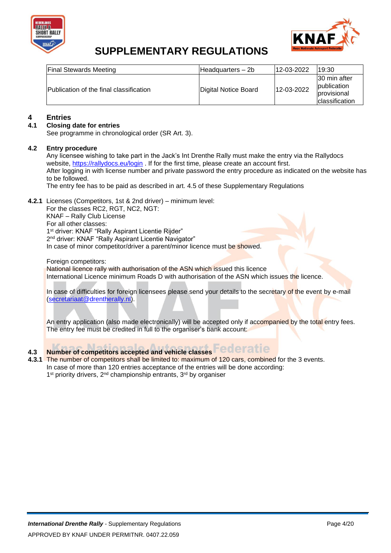



| <b>Final Stewards Meeting</b>           | IHeadquarters – 2b   | 12-03-2022 | 19:30                                                                       |
|-----------------------------------------|----------------------|------------|-----------------------------------------------------------------------------|
| Publication of the final classification | Digital Notice Board | 12-03-2022 | 130 min after<br><b>publication</b><br><b>provisional</b><br>classification |

# **4 Entries**

#### **4.1 Closing date for entries**

See programme in chronological order (SR Art. 3).

#### **4.2 Entry procedure**

Any licensee wishing to take part in the Jack's Int Drenthe Rally must make the entry via the Rallydocs website,<https://rallydocs.eu/login> . If for the first time, please create an account first. After logging in with license number and private password the entry procedure as indicated on the website has to be followed.

The entry fee has to be paid as described in art. 4.5 of these Supplementary Regulations

**4.2.1** Licenses (Competitors, 1st & 2nd driver) – minimum level:

For the classes RC2, RGT, NC2, NGT: KNAF – Rally Club License For all other classes: 1<sup>st</sup> driver: KNAF "Rally Aspirant Licentie Rijder" 2<sup>nd</sup> driver: KNAF "Rally Aspirant Licentie Navigator" In case of minor competitor/driver a parent/minor licence must be showed.

Foreign competitors: National licence rally with authorisation of the ASN which issued this licence International Licence minimum Roads D with authorisation of the ASN which issues the licence.

In case of difficulties for foreign licensees please send your details to the secretary of the event by e-mail [\(secretariaat@drentherally.nl\)](mailto:secretariaat@drentherally.nl).

An entry application (also made electronically) will be accepted only if accompanied by the total entry fees. The entry fee must be credited in full to the organiser's bank account:

# **4.3 Number of competitors accepted and vehicle classes**

**4.3.1** The number of competitors shall be limited to: maximum of 120 cars, combined for the 3 events. In case of more than 120 entries acceptance of the entries will be done according: 1<sup>st</sup> priority drivers, 2<sup>nd</sup> championship entrants, 3<sup>rd</sup> by organiser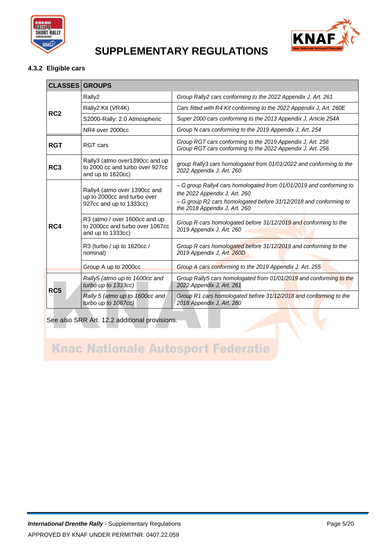



### **4.3.2 Eligible cars**

| <b>CLASSES GROUPS</b> |  |
|-----------------------|--|
|                       |  |

|                 | Rally2                                                                                 | Group Rally2 cars conforming to the 2022 Appendix J, Art. 261                                                                                                                                              |
|-----------------|----------------------------------------------------------------------------------------|------------------------------------------------------------------------------------------------------------------------------------------------------------------------------------------------------------|
| RC <sub>2</sub> | Rally2 Kit (VR4K)                                                                      | Cars fitted with R4 Kit conforming to the 2022 Appendix J, Art. 260E                                                                                                                                       |
|                 | S2000-Rally: 2.0 Atmospheric                                                           | Super 2000 cars conforming to the 2013 Appendix J, Article 254A                                                                                                                                            |
|                 | NR4 over 2000cc                                                                        | Group N cars conforming to the 2019 Appendix J, Art. 254                                                                                                                                                   |
| <b>RGT</b>      | RGT cars                                                                               | Group RGT cars conforming to the 2019 Appendix J, Art. 256<br>Group RGT cars conforming to the 2022 Appendix J, Art. 256                                                                                   |
| RC <sub>3</sub> | Rally3 (atmo over1390cc and up<br>to 2000 cc and turbo over 927cc<br>and up to 1620cc) | group Rally3 cars homologated from 01/01/2022 and conforming to the<br>2022 Appendix J, Art. 260                                                                                                           |
|                 | Rally4 (atmo over 1390cc and<br>up to 2000cc and turbo over<br>927cc and up to 1333cc) | - G group Rally4 cars homologated from 01/01/2019 and conforming to<br>the 2022 Appendix J, Art. 260<br>- G group R2 cars homologated before 31/12/2018 and conforming to<br>the 2018 Appendix J, Art. 260 |
| RC4             | R3 (atmo / over 1600cc and up<br>to 2000cc and turbo over 1067cc<br>and up to 1333cc)  | Group R cars homologated before 31/12/2019 and conforming to the<br>2019 Appendix J. Art. 260                                                                                                              |
|                 | R3 (turbo / up to 1620cc /<br>nominal)                                                 | Group R cars homologated before 31/12/2019 and conforming to the<br>2019 Appendix J. Art. 260D                                                                                                             |
|                 | Group A up to 2000cc                                                                   | Group A cars conforming to the 2019 Appendix J, Art. 255                                                                                                                                                   |
| RC <sub>5</sub> | Rally5 (atmo up to 1600cc and<br>turbo up to 1333cc)                                   | Group Rally5 cars homologated from 01/01/2019 and conforming to the<br>2022 Appendix J, Art. 261                                                                                                           |
|                 | Rally 5 (atmo up to 1600cc and<br>turbo up to 1067cc)                                  | Group R1 cars homologated before 31/12/2018 and conforming to the<br>2018 Appendix J, Art. 260                                                                                                             |

See also SRR Art. 12.2 additional provisions.

# **Knac Nationale Autosport Federatie**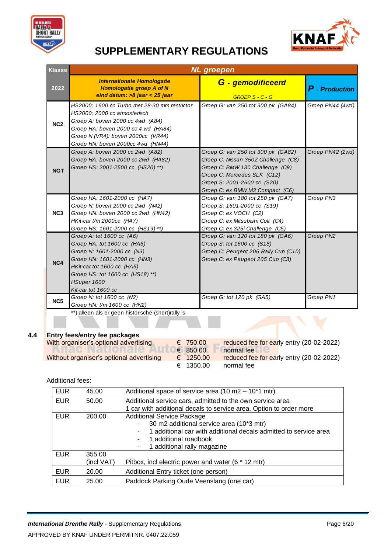



| <b>Klasse</b>   |                                                                                                                                                                                                                                     | <b>NL</b> groepen                                                                                                                                                                                             |                  |
|-----------------|-------------------------------------------------------------------------------------------------------------------------------------------------------------------------------------------------------------------------------------|---------------------------------------------------------------------------------------------------------------------------------------------------------------------------------------------------------------|------------------|
| 2022            | <b>Internationale Homologatie</b><br><b>Homologatie groep A of N</b><br>eind datum: >8 jaar < 25 jaar                                                                                                                               | G - gemodificeerd<br>GROEP S - C - G                                                                                                                                                                          | $P$ - Production |
| NC <sub>2</sub> | HS2000: 1600 cc Turbo met 28-30 mm restrictor<br>HS2000: 2000 cc atmosferisch<br>Groep A: boven 2000 cc 4wd (A84)<br>Groep HA: boven 2000 cc 4 wd (HA84)<br>Groep N (VR4): boven 2000cc (VR44)<br>Groep HN: boven 2000cc 4wd (HN44) | Groep G: van 250 tot 300 pk (GA84)                                                                                                                                                                            | Groep PN44 (4wd) |
| <b>NGT</b>      | Groep A: boven 2000 cc 2wd (A82)<br>Groep HA: boven 2000 cc 2wd (HA82)<br>Groep HS: 2001-2500 cc (HS20) **)                                                                                                                         | Groep G: van 250 tot 300 pk (GA82)<br>Groep C: Nissan 350Z Challenge (C8)<br>Groep C: BMW 130 Challenge (C9)<br>Groep C: Mercedes SLK (C12)<br>Groep S: 2001-2500 cc (S20)<br>Groep C: ex BMW M3 Compact (C6) | Groep PN42 (2wd) |
| NC <sub>3</sub> | Groep HA: 1601-2000 cc (HA7)<br>Groep N: boven 2000 cc 2wd (N42)<br>Groep HN: boven 2000 cc 2wd (HN42)<br>HKit-car t/m 2000cc (HA7)<br>Groep HS: 1601-2000 cc (HS19) **)                                                            | Groep G: van 180 tot 250 pk (GA7)<br>Groep S: 1601-2000 cc (S19)<br>Groep C: ex VOCH (C2)<br>Groep C: ex Mitsubishi Colt (C4)<br>Groep C: ex 325i Challenge (C5)                                              | Groep PN3        |
| NC4             | Groep A: tot 1600 cc (A6)<br>Groep HA: tot 1600 cc (HA6)<br>Groep N: 1601-2000 cc (N3)<br>Groep HN: 1601-2000 cc (HN3)<br>HKit-car tot 1600 cc (HA6)<br>Groep HS: tot 1600 cc (HS18) **)<br>HSuper 1600<br>Kit-car tot 1600 cc      | Groep G: van 120 tot 180 pk (GA6)<br>Groep S: tot 1600 cc (S18)<br>Groep C: Peugeot 206 Rally Cup (C10)<br>Groep C: ex Peugeot 205 Cup (C3)                                                                   | Groep PN2        |
| NC <sub>5</sub> | Groep N: tot 1600 cc (N2)<br>Groep HN: t/m 1600 cc (HN2)                                                                                                                                                                            | Groep G: tot 120 pk (GA5)                                                                                                                                                                                     | Groep PN1        |
|                 | **) alleen als er geen historische (short)rally is                                                                                                                                                                                  |                                                                                                                                                                                                               |                  |

### **4.4 Entry fees/entry fee packages**

| With organiser's optional advertising    | € 750.00  | reduce |
|------------------------------------------|-----------|--------|
| <b>INIQUERGELUIQIC</b>                   | € 850.00  | normal |
| Without organiser's optional advertising | € 1250.00 | reduce |
|                                          | € 1350.00 | normal |

d fee for early entry (20-02-2022) fee d fee for early entry (20-02-2022) fee

Additional fees:

| <b>EUR</b> | 45.00                | Additional space of service area $(10 \text{ m}2 - 10^*1 \text{ m} \text{tr})$                                                                                                                            |  |
|------------|----------------------|-----------------------------------------------------------------------------------------------------------------------------------------------------------------------------------------------------------|--|
| <b>EUR</b> | 50.00                | Additional service cars, admitted to the own service area<br>1 car with additional decals to service area, Option to order more                                                                           |  |
| <b>EUR</b> | 200.00               | <b>Additional Service Package</b><br>30 m2 additional service area (10*3 mtr)<br>1 additional car with additional decals admitted to service area<br>1 additional roadbook<br>1 additional rally magazine |  |
| <b>EUR</b> | 355.00<br>(incl VAT) | Pitbox, incl electric power and water (6 * 12 mtr)                                                                                                                                                        |  |
| <b>EUR</b> | 20.00                | Additional Entry ticket (one person)                                                                                                                                                                      |  |
| <b>EUR</b> | 25.00                | Paddock Parking Oude Veenslang (one car)                                                                                                                                                                  |  |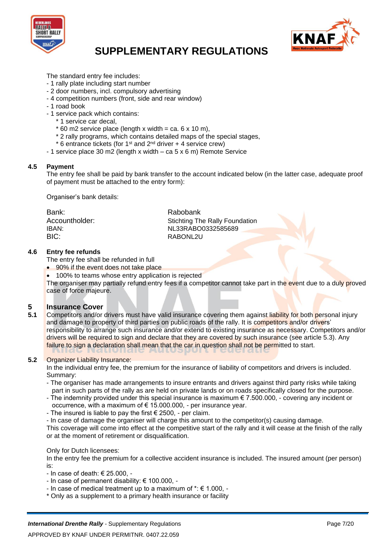



The standard entry fee includes:

- 1 rally plate including start number
- 2 door numbers, incl. compulsory advertising
- 4 competition numbers (front, side and rear window)
- 1 road book
- 1 service pack which contains:
	- \* 1 service car decal,
	- $*$  60 m2 service place (length x width = ca. 6 x 10 m),
	- \* 2 rally programs, which contains detailed maps of the special stages,
	- $*$  6 entrance tickets (for 1<sup>st</sup> and 2<sup>nd</sup> driver  $*$  4 service crew)
- 1 service place 30 m2 (length x width ca 5 x 6 m) Remote Service

#### **4.5 Payment**

The entry fee shall be paid by bank transfer to the account indicated below (in the latter case, adequate proof of payment must be attached to the entry form):

Organiser's bank details:

| Bank:          | Rabobank                              |
|----------------|---------------------------------------|
| Accountholder: | <b>Stichting The Rally Foundation</b> |
| IBAN:          | NL33RABO0332585689                    |
| BIC:           | RABONL2U                              |

#### **4.6 Entry fee refunds**

The entry fee shall be refunded in full

- 90% if the event does not take place
- 100% to teams whose entry application is rejected

The organiser may partially refund entry fees if a competitor cannot take part in the event due to a duly proved case of force majeure.

# **5 Insurance Cover**<br>**5.1** Competitors and/or

**5.1** Competitors and/or drivers must have valid insurance covering them against liability for both personal injury and damage to property of third parties on public roads of the rally. It is competitors and/or drivers' responsibility to arrange such insurance and/or extend to existing insurance as necessary. Competitors and/or drivers will be required to sign and declare that they are covered by such insurance (see article 5.3). Any failure to sign a declaration shall mean that the car in question shall not be permitted to start.

#### **5.2** Organizer Liability Insurance:

In the individual entry fee, the premium for the insurance of liability of competitors and drivers is included. Summary:

- The organiser has made arrangements to insure entrants and drivers against third party risks while taking part in such parts of the rally as are held on private lands or on roads specifically closed for the purpose.
- The indemnity provided under this special insurance is maximum  $\epsilon$  7.500.000, covering any incident or occurrence, with a maximum of  $\epsilon$  15.000.000, - per insurance year.
- The insured is liable to pay the first  $\epsilon$  2500, per claim.
- In case of damage the organiser will charge this amount to the competitor(s) causing damage.

This coverage will come into effect at the competitive start of the rally and it will cease at the finish of the rally or at the moment of retirement or disqualification.

#### Only for Dutch licensees:

In the entry fee the premium for a collective accident insurance is included. The insured amount (per person) is:

- In case of death: € 25.000, -
- In case of permanent disability: € 100.000, -
- In case of medical treatment up to a maximum of  $\dot{ }$ :  $\in$  1.000, -
- \* Only as a supplement to a primary health insurance or facility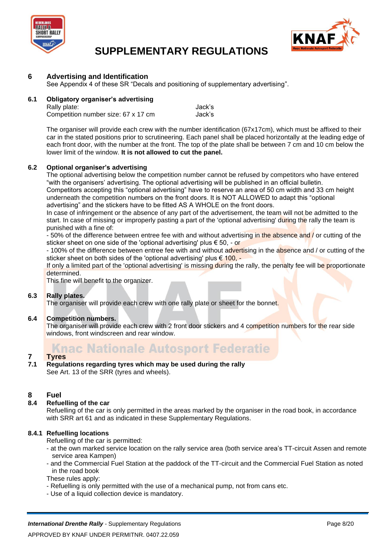



#### **6 Advertising and Identification**

See Appendix 4 of these SR "Decals and positioning of supplementary advertising".

#### **6.1 Obligatory organiser's advertising**

| Rally plate:                        | Jack's |
|-------------------------------------|--------|
| Competition number size: 67 x 17 cm | Jack's |

The organiser will provide each crew with the number identification (67x17cm), which must be affixed to their car in the stated positions prior to scrutineering. Each panel shall be placed horizontally at the leading edge of each front door, with the number at the front. The top of the plate shall be between 7 cm and 10 cm below the lower limit of the window. **It is not allowed to cut the panel.**

#### **6.2 Optional organiser's advertising**

The optional advertising below the competition number cannot be refused by competitors who have entered "with the organisers' advertising. The optional advertising will be published in an official bulletin.

Competitors accepting this "optional advertising" have to reserve an area of 50 cm width and 33 cm height underneath the competition numbers on the front doors. It is NOT ALLOWED to adapt this "optional advertising" and the stickers have to be fitted AS A WHOLE on the front doors.

In case of infringement or the absence of any part of the advertisement, the team will not be admitted to the start. In case of missing or improperly pasting a part of the 'optional advertising' during the rally the team is punished with a fine of:

- 50% of the difference between entree fee with and without advertising in the absence and / or cutting of the sticker sheet on one side of the 'optional advertising' plus € 50, - or

- 100% of the difference between entree fee with and without advertising in the absence and / or cutting of the sticker sheet on both sides of the 'optional advertising' plus  $\epsilon$  100. -

If only a limited part of the 'optional advertising' is missing during the rally, the penalty fee will be proportionate determined.

This fine will benefit to the organizer.

#### **6.3 Rally plates.**

The organiser will provide each crew with one rally plate or sheet for the bonnet.

#### **6.4 Competition numbers.**

The organiser will provide each crew with 2 front door stickers and 4 competition numbers for the rear side windows, front windscreen and rear window.

### **Knac Nationale Autosport Federatie**

## **7 Tyres**

**7.1 Regulations regarding tyres which may be used during the rally** See Art. 13 of the SRR (tyres and wheels).

#### **8 Fuel**

#### **8.4 Refuelling of the car**

Refuelling of the car is only permitted in the areas marked by the organiser in the road book, in accordance with SRR art 61 and as indicated in these Supplementary Regulations.

#### **8.4.1 Refuelling locations**

Refuelling of the car is permitted:

- at the own marked service location on the rally service area (both service area's TT-circuit Assen and remote service area Kampen)
- and the Commercial Fuel Station at the paddock of the TT-circuit and the Commercial Fuel Station as noted in the road book

These rules apply:

- Refuelling is only permitted with the use of a mechanical pump, not from cans etc.
- Use of a liquid collection device is mandatory.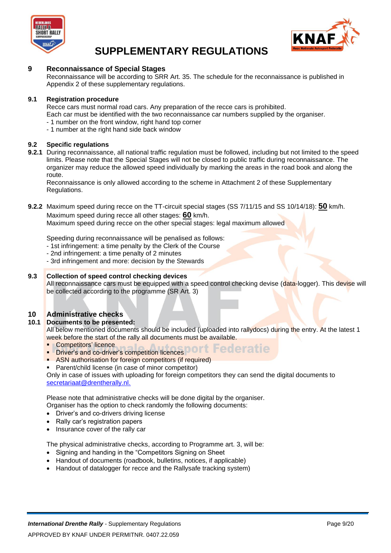



#### **9 Reconnaissance of Special Stages**

Reconnaissance will be according to SRR Art. 35. The schedule for the reconnaissance is published in Appendix 2 of these supplementary regulations.

#### **9.1 Registration procedure**

Recce cars must normal road cars. Any preparation of the recce cars is prohibited.

Each car must be identified with the two reconnaissance car numbers supplied by the organiser.

- 1 number on the front window, right hand top corner
- 1 number at the right hand side back window

#### **9.2 Specific regulations**

**9.2.1** During reconnaissance, all national traffic regulation must be followed, including but not limited to the speed limits. Please note that the Special Stages will not be closed to public traffic during reconnaissance. The organizer may reduce the allowed speed individually by marking the areas in the road book and along the route.

Reconnaissance is only allowed according to the scheme in Attachment 2 of these Supplementary Regulations.

### **9.2.2** Maximum speed during recce on the TT-circuit special stages (SS 7/11/15 and SS 10/14/18): **50** km/h. Maximum speed during recce all other stages: **60** km/h.

Maximum speed during recce on the other special stages: legal maximum allowed

Speeding during reconnaissance will be penalised as follows:

- 1st infringement: a time penalty by the Clerk of the Course
- 2nd infringement: a time penalty of 2 minutes
- 3rd infringement and more: decision by the Stewards

#### **9.3 Collection of speed control checking devices**

All reconnaissance cars must be equipped with a speed control checking devise (data-logger). This devise will be collected according to the programme (SR Art. 3)

### **10 Administrative checks**

### **10.1 Documents to be presented:**

All below mentioned documents should be included (uploaded into rallydocs) during the entry. At the latest 1 week before the start of the rally all documents must be available.

- **Competitors' licence**
- Driver's and co-driver's competition licences DOIT Federatie
- ASN authorisation for foreign competitors (if required)
- Parent/child license (in case of minor competitor)

Only in case of issues with uploading for foreign competitors they can send the digital documents to [secretariaat@drentherally.nl.](mailto:secretariaat@drentherally.nl)

Please note that administrative checks will be done digital by the organiser.

Organiser has the option to check randomly the following documents:

- Driver's and co-drivers driving license
- Rally car's registration papers
- Insurance cover of the rally car

The physical administrative checks, according to Programme art. 3, will be:

- Signing and handing in the "Competitors Signing on Sheet
- Handout of documents (roadbook, bulletins, notices, if applicable)
- Handout of datalogger for recce and the Rallysafe tracking system)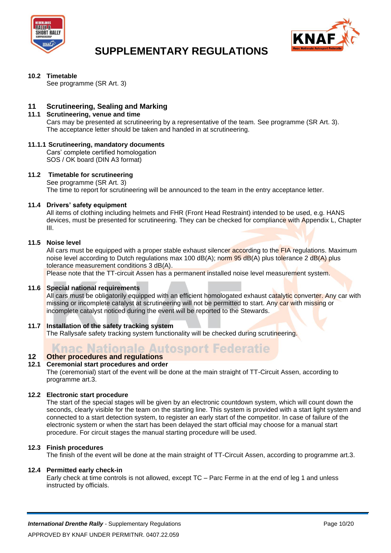



#### **10.2 Timetable**

See programme (SR Art. 3)

### **11 Scrutineering, Sealing and Marking**

#### **11.1 Scrutineering, venue and time**

Cars may be presented at scrutineering by a representative of the team. See programme (SR Art. 3). The acceptance letter should be taken and handed in at scrutineering.

#### **11.1.1 Scrutineering, mandatory documents**

Cars' complete certified homologation SOS / OK board (DIN A3 format)

#### **11.2 Timetable for scrutineering**

See programme (SR Art. 3) The time to report for scrutineering will be announced to the team in the entry acceptance letter.

#### **11.4 Drivers' safety equipment**

All items of clothing including helmets and FHR (Front Head Restraint) intended to be used, e.g. HANS devices, must be presented for scrutineering. They can be checked for compliance with Appendix L, Chapter III.

#### **11.5 Noise level**

All cars must be equipped with a proper stable exhaust silencer according to the FIA regulations. Maximum noise level according to Dutch regulations max 100 dB(A); norm  $95$  dB(A) plus tolerance 2 dB(A) plus tolerance measurement conditions 3 dB(A).

Please note that the TT-circuit Assen has a permanent installed noise level measurement system.

#### **11.6 Special national requirements**

All cars must be obligatorily equipped with an efficient homologated exhaust catalytic converter. Any car with missing or incomplete catalyst at scrutineering will not be permitted to start. Any car with missing or incomplete catalyst noticed during the event will be reported to the Stewards.

#### **11.7 Installation of the safety tracking system**

The Rallysafe safety tracking system functionality will be checked during scrutineering.

### **Knac Nationale Autosport Federatie**

#### **12 Other procedures and regulations 12.1 Ceremonial start procedures and order**

The (ceremonial) start of the event will be done at the main straight of TT-Circuit Assen, according to programme art.3.

#### **12.2 Electronic start procedure**

The start of the special stages will be given by an electronic countdown system, which will count down the seconds, clearly visible for the team on the starting line. This system is provided with a start light system and connected to a start detection system, to register an early start of the competitor. In case of failure of the electronic system or when the start has been delayed the start official may choose for a manual start procedure. For circuit stages the manual starting procedure will be used.

#### **12.3 Finish procedures**

The finish of the event will be done at the main straight of TT-Circuit Assen, according to programme art.3.

#### **12.4 Permitted early check-in**

Early check at time controls is not allowed, except TC – Parc Ferme in at the end of leg 1 and unless instructed by officials.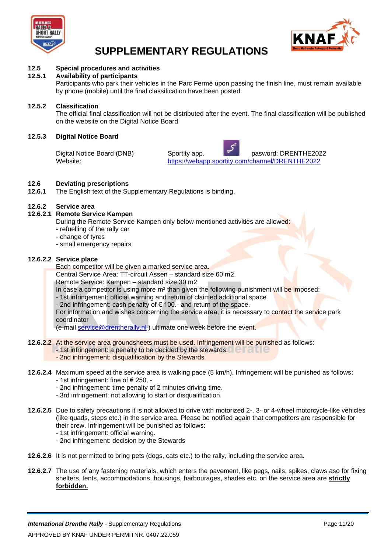



### **12.5 Special procedures and activities**

#### **12.5.1 Availability of participants**

Participants who park their vehicles in the Parc Fermé upon passing the finish line, must remain available by phone (mobile) until the final classification have been posted.

#### **12.5.2 Classification**

The official final classification will not be distributed after the event. The final classification will be published on the website on the Digital Notice Board

#### **12.5.3 Digital Notice Board**

Digital Notice Board (DNB) Sportity app. pasword: DRENTHE2022<br>Website: https://webapp.sportity.com/channel/DRENTHE2022 <https://webapp.sportity.com/channel/DRENTHE2022>

## **12.6 Deviating prescriptions**

**12.6.1** The English text of the Supplementary Regulations is binding.

#### **12.6.2 Service area**

#### **12.6.2.1 Remote Service Kampen**

During the Remote Service Kampen only below mentioned activities are allowed:

- refuelling of the rally car
- change of tyres
- small emergency repairs

#### **12.6.2.2 Service place**

Each competitor will be given a marked service area.

Central Service Area: TT-circuit Assen – standard size 60 m2.

Remote Service: Kampen – standard size 30 m2

In case a competitor is using more  $m<sup>2</sup>$  than given the following punishment will be imposed:

- 1st infringement: official warning and return of claimed additional space

- 2nd infringement: cash penalty of € 100.- and return of the space.

For information and wishes concerning the service area, it is necessary to contact the service park coordinator

(e-mail [service@drentherally.nl](mailto:service@drentherally.nl)) ultimate one week before the event.

- **12.6.2.2** At the service area groundsheets must be used. Infringement will be punished as follows:
	- 1st infringement: a penalty to be decided by the stewards.
	- 2nd infringement: disqualification by the Stewards
- **12.6.2.4** Maximum speed at the service area is walking pace (5 km/h). Infringement will be punished as follows: - 1st infringement: fine of € 250, -
	- 2nd infringement: time penalty of 2 minutes driving time.
	- 3rd infringement: not allowing to start or disqualification.
- **12.6.2.5** Due to safety precautions it is not allowed to drive with motorized 2-, 3- or 4-wheel motorcycle-like vehicles (like quads, steps etc.) in the service area. Please be notified again that competitors are responsible for their crew. Infringement will be punished as follows:
	- 1st infringement: official warning.
	- 2nd infringement: decision by the Stewards
- **12.6.2.6** It is not permitted to bring pets (dogs, cats etc.) to the rally, including the service area.
- **12.6.2.7** The use of any fastening materials, which enters the pavement, like pegs, nails, spikes, claws aso for fixing shelters, tents, accommodations, housings, harbourages, shades etc. on the service area are **strictly forbidden.**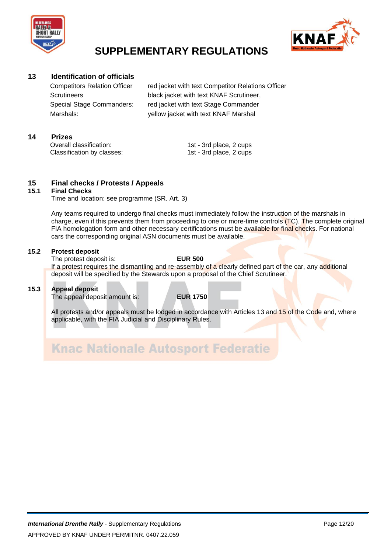



### **13 Identification of officials**

Competitors Relation Officer red jacket with text Competitor Relations Officer Scrutineers black jacket with text KNAF Scrutineer, Special Stage Commanders: red jacket with text Stage Commander Marshals: yellow jacket with text KNAF Marshal

#### **14 Prizes**

Overall classification: 1st - 3rd place, 2 cups Classification by classes: 1st - 3rd place, 2 cups

# **15 Final checks / Protests / Appeals**

#### **15.1 Final Checks**

Time and location: see programme (SR. Art. 3)

Any teams required to undergo final checks must immediately follow the instruction of the marshals in charge, even if this prevents them from proceeding to one or more-time controls (TC). The complete original FIA homologation form and other necessary certifications must be available for final checks. For national cars the corresponding original ASN documents must be available.

#### **15.2 Protest deposit**

The protest deposit is: **EUR 500** If a protest requires the dismantling and re-assembly of a clearly defined part of the car, any additional deposit will be specified by the Stewards upon a proposal of the Chief Scrutineer.

#### **15.3 Appeal deposit**

The appeal deposit amount is: **EUR 1750**

All protests and/or appeals must be lodged in accordance with Articles 13 and 15 of the Code and, where applicable, with the FIA Judicial and Disciplinary Rules.

**Knac Nationale Autosport Federatie**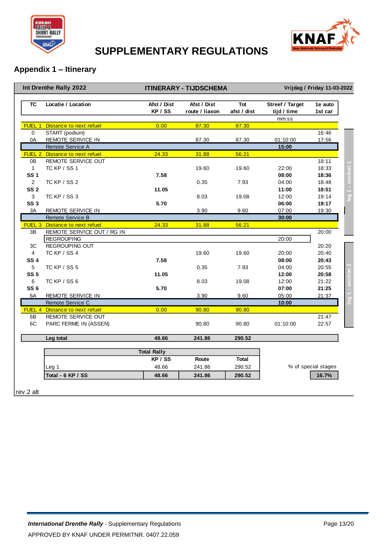



### **Appendix 1 – Itinerary**

|                   | Int Drenthe Rally 2022         |                        | <b>ITINERARY - TIJDSCHEMA</b> |                    |                                | Vrijdag / Friday 11-03-2022 |                 |
|-------------------|--------------------------------|------------------------|-------------------------------|--------------------|--------------------------------|-----------------------------|-----------------|
| <b>TC</b>         | Locatie / Location             | Afst / Dist<br>KP / SS | Afst / Dist<br>route / liason | Tot<br>afst / dist | Streef / Target<br>tijd / time | 1e auto<br>1st car          |                 |
| FUEL <sub>1</sub> | Distance to next refuel        | 0.00                   | 87.30                         | 87.30              | mm:ss                          |                             |                 |
| $\mathbf 0$       | START (podium)                 |                        |                               |                    |                                | 16:46                       |                 |
| 0A                | <b>REMOTE SERVICE IN</b>       |                        | 87.30                         | 87.30              | 01:10:00                       | 17:56                       |                 |
|                   | Remote Service A               |                        |                               |                    | 15:00                          |                             |                 |
|                   | FUEL 2 Distance to next refuel | 24.33                  | 31.88                         | 56.21              |                                |                             |                 |
| 0 <sub>B</sub>    | REMOTE SERVICE OUT             |                        |                               |                    |                                | 18:11                       |                 |
| $\mathbf{1}$      | TC KP / SS 1                   |                        | 19.60                         | 19.60              | 22:00                          | 18:33                       |                 |
| <b>SS1</b>        |                                | 7.58                   |                               |                    | 08:00                          | 18:36                       |                 |
| $\overline{2}$    | TC KP / SS 2                   |                        | 0.35                          | 7.93               | 04:00                          | 18:48                       | section '       |
| SS <sub>2</sub>   |                                | 11.05                  |                               |                    | 11:00                          | 18:51                       |                 |
| 3                 | TC KP / SS 3                   |                        | 8.03                          | 19.08              | 12:00                          | 19:14                       | $\overline{69}$ |
| SS <sub>3</sub>   |                                | 5.70                   |                               |                    | 06:00                          | 19:17                       |                 |
| 3A                | REMOTE SERVICE IN              |                        | 3.90                          | 9.60               | 07:00                          | 19:30                       |                 |
|                   | Remote Service B               |                        |                               |                    | 30:00                          |                             |                 |
|                   | FUEL 3 Distance to next refuel | 24.33                  | 31.88                         | 56.21              |                                |                             |                 |
| 3B                | REMOTE SERVICE OUT / RG IN     |                        |                               |                    |                                | 20:00                       |                 |
|                   | <b>REGROUPING</b>              |                        |                               |                    | 20:00                          |                             |                 |
| 3C                | <b>REGROUPING OUT</b>          |                        |                               |                    |                                | 20:20                       |                 |
| 4                 | TC KP / SS 4                   |                        | 19.60                         | 19.60              | 20:00                          | 20:40                       |                 |
| <b>SS4</b>        |                                | 7.58                   |                               |                    | 08:00                          | 20:43                       |                 |
| 5 <sup>5</sup>    | TC KP / SS 5                   |                        | 0.35                          | 7.93               | 04:00                          | 20:55                       |                 |
| <b>SS 5</b>       |                                | 11.05                  |                               |                    | 12:00                          | 20:58                       |                 |
| 6                 | TC KP / SS 6                   |                        | 8.03                          | 19.08              | 12:00                          | 21:22                       |                 |
| SS <sub>6</sub>   |                                | 5.70                   |                               |                    | 07:00                          | 21:25                       |                 |
| 6A                | REMOTE SERVICE IN              |                        | 3.90                          | 9.60               | 05:00                          | 21:37                       |                 |
|                   | Remote Service C               |                        |                               |                    | 10:00                          |                             |                 |
|                   | FUEL 4 Distance to next refuel | 0.00                   | 90.80                         | 90.80              |                                |                             |                 |
| 6B                | REMOTE SERVICE OUT             |                        |                               |                    |                                | 21:47                       |                 |
| 6C                | PARC FERME IN (ASSEN)          |                        | 90.80                         | 90.80              | 01:10:00                       | 22:57                       |                 |
|                   | Leg total                      | 48.66                  | 241.86                        | 290.52             |                                |                             |                 |
|                   |                                | <b>Total Rally</b>     |                               |                    |                                |                             |                 |
|                   |                                | KP / SS                | Route                         | <b>Total</b>       |                                |                             |                 |
|                   | Leg 1                          | 48.66                  | 241.86                        | 290.52             |                                | % of special stages         |                 |
|                   | Total - 6 KP / SS              | 48.66                  | 241.86                        | 290.52             |                                | 16.7%                       |                 |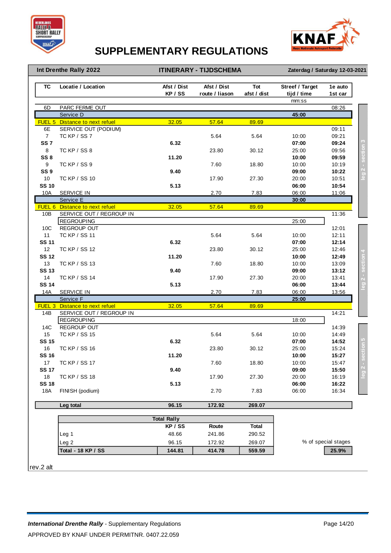



#### **Int Drenthe Rally 2022**

**Zaterdag / Saturday 12-03-2021 ITINERARY - TIJDSCHEMA Zaterdag / Saturday 12-03-2021**

| <b>TC</b>          | Locatie / Location                            | Afst / Dist<br>KP / SS | Afst / Dist<br>route / liason | Tot<br>afst / dist | <b>Streef / Target</b><br>tijd / time | 1e auto<br>1st car  |
|--------------------|-----------------------------------------------|------------------------|-------------------------------|--------------------|---------------------------------------|---------------------|
|                    |                                               |                        |                               |                    | mm:ss                                 |                     |
| 6D                 | PARC FERME OUT                                |                        |                               |                    |                                       | 08:26               |
|                    | Service D                                     |                        |                               |                    | 45:00                                 |                     |
| FUEL 5             | Distance to next refuel                       | 32.05                  | 57.64                         | 89.69              |                                       |                     |
| 6E                 | SERVICE OUT (PODIUM)                          |                        |                               |                    |                                       | 09:11               |
| $\overline{7}$     | <b>TC KP / SS 7</b>                           |                        | 5.64                          | 5.64               | 10:00                                 | 09:21               |
| SS <sub>7</sub>    |                                               | 6.32                   |                               |                    | 07:00                                 | 09:24               |
| 8                  | TC KP / SS 8                                  |                        | 23.80                         | 30.12              | 25:00                                 | 09:56               |
| SS <sub>8</sub>    |                                               | 11.20                  |                               |                    | 10:00                                 | 09:59               |
| 9                  | TC KP / SS 9                                  |                        | 7.60                          | 18.80              | 10:00                                 | 10:19               |
| SS <sub>9</sub>    |                                               | 9.40                   |                               |                    | 09:00                                 | 10:22               |
| 10                 | TC KP / SS 10                                 |                        | 17.90                         | 27.30              | 20:00                                 | 10:51               |
| <b>SS 10</b>       |                                               | 5.13                   |                               |                    | 06:00                                 | 10:54               |
| 10A                | <b>SERVICE IN</b>                             |                        | 2.70                          | 7.83               | 06:00                                 | 11:06               |
|                    | Service E                                     |                        |                               |                    | 30:00                                 |                     |
|                    | FUEL 6 Distance to next refuel                | 32.05                  | 57.64                         | 89.69              |                                       |                     |
| 10B                | SERVICE OUT / REGROUP IN                      |                        |                               |                    |                                       | 11:36               |
|                    | <b>REGROUPING</b>                             |                        |                               |                    | 25:00                                 |                     |
| 10C                | <b>REGROUP OUT</b>                            |                        |                               |                    |                                       | 12:01               |
| 11                 | <b>TC KP / SS 11</b>                          |                        | 5.64                          | 5.64               | 10:00                                 | 12:11               |
| <b>SS 11</b>       |                                               | 6.32                   |                               |                    | 07:00                                 | 12:14               |
| 12                 | TC KP / SS 12                                 |                        | 23.80                         | 30.12              | 25:00                                 | 12:46               |
| <b>SS 12</b>       |                                               | 11.20                  |                               |                    | 10:00                                 | 12:49               |
| 13                 | TC KP / SS 13                                 |                        | 7.60                          | 18.80              | 10:00                                 | 13:09               |
| <b>SS 13</b>       |                                               | 9.40                   |                               |                    | 09:00                                 | 13:12               |
| 14                 | TC KP / SS 14                                 |                        | 17.90                         | 27.30              | 20:00                                 | 13:41               |
| <b>SS 14</b>       |                                               | 5.13                   |                               |                    | 06:00                                 | 13:44               |
| <b>14A</b>         | <b>SERVICE IN</b>                             |                        | 2.70                          | 7.83               | 06:00                                 | 13:56               |
|                    | Service F                                     |                        |                               |                    | 25:00                                 |                     |
|                    | <b>FUEL 3</b> Distance to next refuel         | 32.05                  | 57.64                         | 89.69              |                                       |                     |
| 14B                | SERVICE OUT / REGROUP IN<br><b>REGROUPING</b> |                        |                               |                    |                                       | 14:21               |
| 14C                | REGROUP OUT                                   |                        |                               |                    | 18:00                                 |                     |
| 15                 |                                               |                        |                               |                    |                                       | 14:39<br>14:49      |
| <b>SS 15</b>       | TC KP / SS 15                                 |                        | 5.64                          | 5.64               | 10:00<br>07:00                        | 14:52               |
| 16                 |                                               | 6.32                   |                               |                    |                                       |                     |
| <b>SS 16</b>       | TC KP / SS 16                                 |                        | 23.80                         | 30.12              | 25:00                                 | 15:24<br>15:27      |
|                    | TC KP / SS 17                                 | 11.20                  |                               |                    | 10:00                                 |                     |
| 17<br><b>SS 17</b> |                                               |                        | 7.60                          | 18.80              | 10:00                                 | 15:47               |
|                    |                                               | 9.40                   |                               |                    | 09:00                                 | 15:50               |
| 18<br><b>SS 18</b> | TC KP / SS 18                                 |                        | 17.90                         | 27.30              | 20:00                                 | 16:19               |
|                    | FINISH (podium)                               | 5.13                   |                               |                    | 06:00                                 | 16:22               |
| 18A                |                                               |                        | 2.70                          | 7.83               | 06:00                                 | 16:34               |
|                    | Leg total                                     | 96.15                  | 172.92                        | 269.07             |                                       |                     |
|                    |                                               | <b>Total Rally</b>     |                               |                    |                                       |                     |
|                    |                                               | KP / SS                | Route                         | <b>Total</b>       |                                       |                     |
|                    | Leg 1                                         | 48.66                  | 241.86                        | 290.52             |                                       |                     |
|                    |                                               |                        |                               |                    |                                       |                     |
|                    | Leg 2                                         | 96.15                  | 172.92                        | 269.07             |                                       | % of special stages |
|                    | <b>Total - 18 KP / SS</b>                     | 144.81                 | 414.78                        | 559.59             |                                       | 25.9%               |

rev.2 alt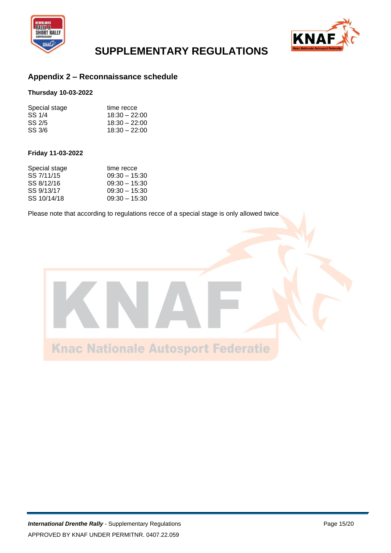



### **Appendix 2 – Reconnaissance schedule**

#### **Thursday 10-03-2022**

| Special stage | time recce      |
|---------------|-----------------|
| SS 1/4        | $18:30 - 22:00$ |
| SS 2/5        | $18:30 - 22:00$ |
| SS 3/6        | $18:30 - 22:00$ |

#### **Friday 11-03-2022**

| Special stage | time recce      |
|---------------|-----------------|
| SS 7/11/15    | $09:30 - 15:30$ |
| SS 8/12/16    | $09:30 - 15:30$ |
| SS 9/13/17    | $09:30 - 15:30$ |
| SS 10/14/18   | $09:30 - 15:30$ |

Please note that according to regulations recce of a special stage is only allowed twice

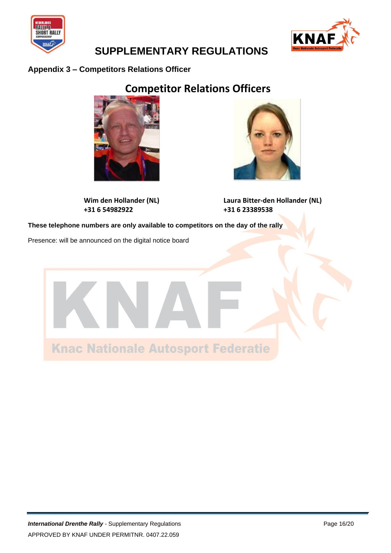



### **Appendix 3 – Competitors Relations Officer**

### **Competitor Relations Officers**



**+31 6 54982922 +31 6 23389538**



**Wim den Hollander (NL) Laura Bitter-den Hollander (NL)**

**These telephone numbers are only available to competitors on the day of the rally**

Presence: will be announced on the digital notice board

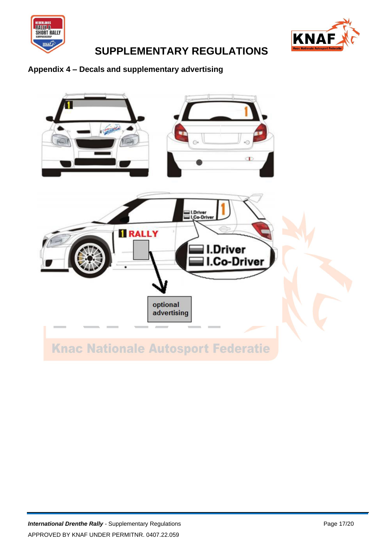



### **Appendix 4 – Decals and supplementary advertising**

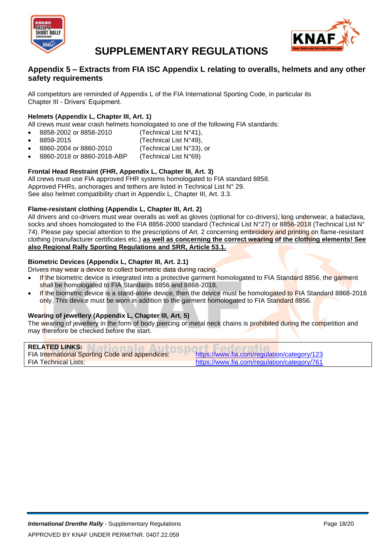



### **Appendix 5 – Extracts from FIA ISC Appendix L relating to overalls, helmets and any other safety requirements**

All competitors are reminded of Appendix L of the FIA International Sporting Code, in particular its Chapter III - Drivers' Equipment.

### **Helmets (Appendix L, Chapter III, Art. 1)**

All crews must wear crash helmets homologated to one of the following FIA standards:

- 8858-2002 or 8858-2010 (Technical List N°41),
- - $8859-2015$  (Technical List N°49),
- 8860-2004 or 8860-2010 (Technical List N°33), or
- 8860-2018 or 8860-2018-ABP (Technical List N°69)

#### **Frontal Head Restraint (FHR, Appendix L, Chapter III, Art. 3)**

All crews must use FIA approved FHR systems homologated to FIA standard 8858. Approved FHRs, anchorages and tethers are listed in Technical List N° 29. See also helmet compatibility chart in Appendix L, Chapter III, Art. 3.3.

#### **Flame-resistant clothing (Appendix L, Chapter III, Art. 2)**

All drivers and co-drivers must wear overalls as well as gloves (optional for co-drivers), long underwear, a balaclava, socks and shoes homologated to the FIA 8856-2000 standard (Technical List N°27) or 8856-2018 (Technical List N° 74). Please pay special attention to the prescriptions of Art. 2 concerning embroidery and printing on flame-resistant clothing (manufacturer certificates etc.) **as well as concerning the correct wearing of the clothing elements! See also Regional Rally Sporting Regulations and SRR, Article 53.1.**

#### **Biometric Devices (Appendix L, Chapter III, Art. 2.1)**

Drivers may wear a device to collect biometric data during racing.

- If the biometric device is integrated into a protective garment homologated to FIA Standard 8856, the garment shall be homologated to FIA Standards 8856 and 8868-2018.
- If the biometric device is a stand-alone device, then the device must be homologated to FIA Standard 8868-2018 only. This device must be worn in addition to the garment homologated to FIA Standard 8856.

#### **Wearing of jewellery (Appendix L, Chapter III, Art. 5)**

The wearing of jewellery in the form of body piercing or metal neck chains is prohibited during the competition and may therefore be checked before the start.

| <b>RELATED LINKS:</b>                                  |                                             |
|--------------------------------------------------------|---------------------------------------------|
| <b>FIA International Sporting Code and appendices:</b> | https://www.fia.com/regulation/category/123 |
| <b>FIA Technical Lists:</b>                            | https://www.fia.com/regulation/category/761 |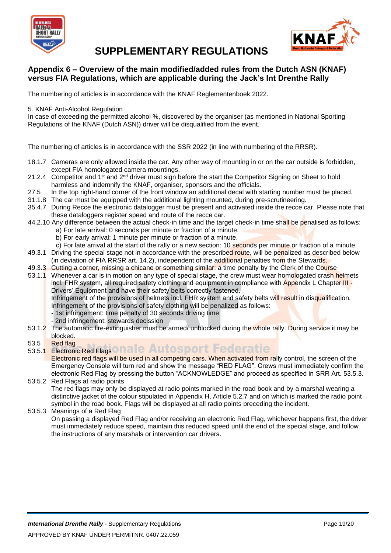



### **Appendix 6 – Overview of the main modified/added rules from the Dutch ASN (KNAF) versus FIA Regulations, which are applicable during the Jack's Int Drenthe Rally**

The numbering of articles is in accordance with the KNAF Reglementenboek 2022.

5. KNAF Anti-Alcohol Regulation

In case of exceeding the permitted alcohol %, discovered by the organiser (as mentioned in National Sporting Regulations of the KNAF (Dutch ASN)) driver will be disqualified from the event.

The numbering of articles is in accordance with the SSR 2022 (in line with numbering of the RRSR).

- 18.1.7 Cameras are only allowed inside the car. Any other way of mounting in or on the car outside is forbidden, except FIA homologated camera mountings.
- 21.2.4 Competitor and 1<sup>st</sup> and 2<sup>nd</sup> driver must sign before the start the Competitor Signing on Sheet to hold harmless and indemnify the KNAF, organiser, sponsors and the officials.
- 27.5 In the top right-hand corner of the front window an additional decal with starting number must be placed.
- 31.1.8 The car must be equipped with the additional lighting mounted, during pre-scrutineering.
- 35.4.7 During Recce the electronic datalogger must be present and activated inside the recce car. Please note that these dataloggers register speed and route of the recce car.
- 44.2.10 Any difference between the actual check-in time and the target check-in time shall be penalised as follows:
	- a) For late arrival: 0 seconds per minute or fraction of a minute.
	- b) For early arrival: 1 minute per minute or fraction of a minute.
	- c) For late arrival at the start of the rally or a new section: 10 seconds per minute or fraction of a minute.
- 49.3.1 Driving the special stage not in accordance with the prescribed route, will be penalized as described below (in deviation of FIA RRSR art. 14.2), independent of the additional penalties from the Stewards.
- 49.3.3 Cutting a corner, missing a chicane or something similar: a time penalty by the Clerk of the Course
- 53.1.1 Whenever a car is in motion on any type of special stage, the crew must wear homologated crash helmets incl. FHR system, all required safety clothing and equipment in compliance with Appendix L Chapter III -Drivers' Equipment and have their safety belts correctly fastened.

Infringement of the provisions of helmets incl. FHR system and safety belts will result in disqualification. Infringement of the provisions of safety clothing will be penalized as follows:

- 1st infringement: time penalty of 30 seconds driving time
- 2nd infringement: stewards decission
- 53.1.2 The automatic fire-extinguisher must be armed/ unblocked during the whole rally. During service it may be blocked.
- 53.5 Red flag
- 53.5.1 Electronic Red Flags onale Autosport Federatie

Electronic red flags will be used in all competing cars. When activated from rally control, the screen of the Emergency Console will turn red and show the message "RED FLAG". Crews must immediately confirm the electronic Red Flag by pressing the button "ACKNOWLEDGE" and proceed as specified in SRR Art. 53.5.3.

#### 53.5.2 Red Flags at radio points The red flags may only be displayed at radio points marked in the road book and by a marshal wearing a distinctive jacket of the colour stipulated in Appendix H, Article 5.2.7 and on which is marked the radio point symbol in the road book. Flags will be displayed at all radio points preceding the incident.

53.5.3 Meanings of a Red Flag

On passing a displayed Red Flag and/or receiving an electronic Red Flag, whichever happens first, the driver must immediately reduce speed, maintain this reduced speed until the end of the special stage, and follow the instructions of any marshals or intervention car drivers.